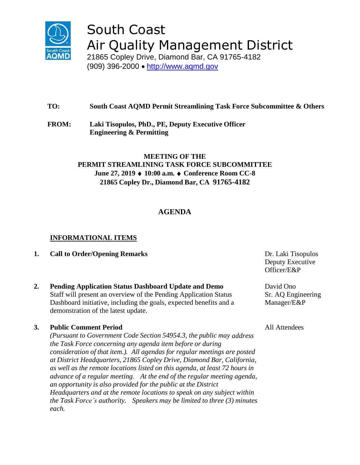

# South Coast Air Quality Management District

21865 Copley Drive, Diamond Bar, CA 91765-4182 (909) 396-2000 • [http://www.aqmd.gov](http://www.aqmd.gov/)

# **TO: South Coast AQMD Permit Streamlining Task Force Subcommittee & Others**

**FROM: Laki Tisopulos, PhD., PE, Deputy Executive Officer Engineering & Permitting**

## **MEETING OF THE PERMIT STREAMLINING TASK FORCE SUBCOMMITTEE June 27, 2019 ♦ 10:00 a.m. ♦ Conference Room CC-8 21865 Copley Dr., Diamond Bar, CA 91765-4182**

## **AGENDA**

## **INFORMATIONAL ITEMS**

- **1. Call to Order/Opening Remarks Dr. Laki Tisopulos Dr. Laki Tisopulos**
- **2. Pending Application Status Dashboard Update and Demo** Staff will present an overview of the Pending Application Status Dashboard initiative, including the goals, expected benefits and a demonstration of the latest update.

## **3. Public Comment Period**

*(Pursuant to Government Code Section 54954.3, the public may address the Task Force concerning any agenda item before or during consideration of that item.). All agendas for regular meetings are posted at District Headquarters, 21865 Copley Drive, Diamond Bar, California, as well as the remote locations listed on this agenda, at least 72 hours in advance of a regular meeting. At the end of the regular meeting agenda, an opportunity is also provided for the public at the District Headquarters and at the remote locations to speak on any subject within the Task Force's authority. Speakers may be limited to three (3) minutes each.*

Deputy Executive Officer/E&P

David Ono Sr. AQ Engineering Manager/E&P

All Attendees